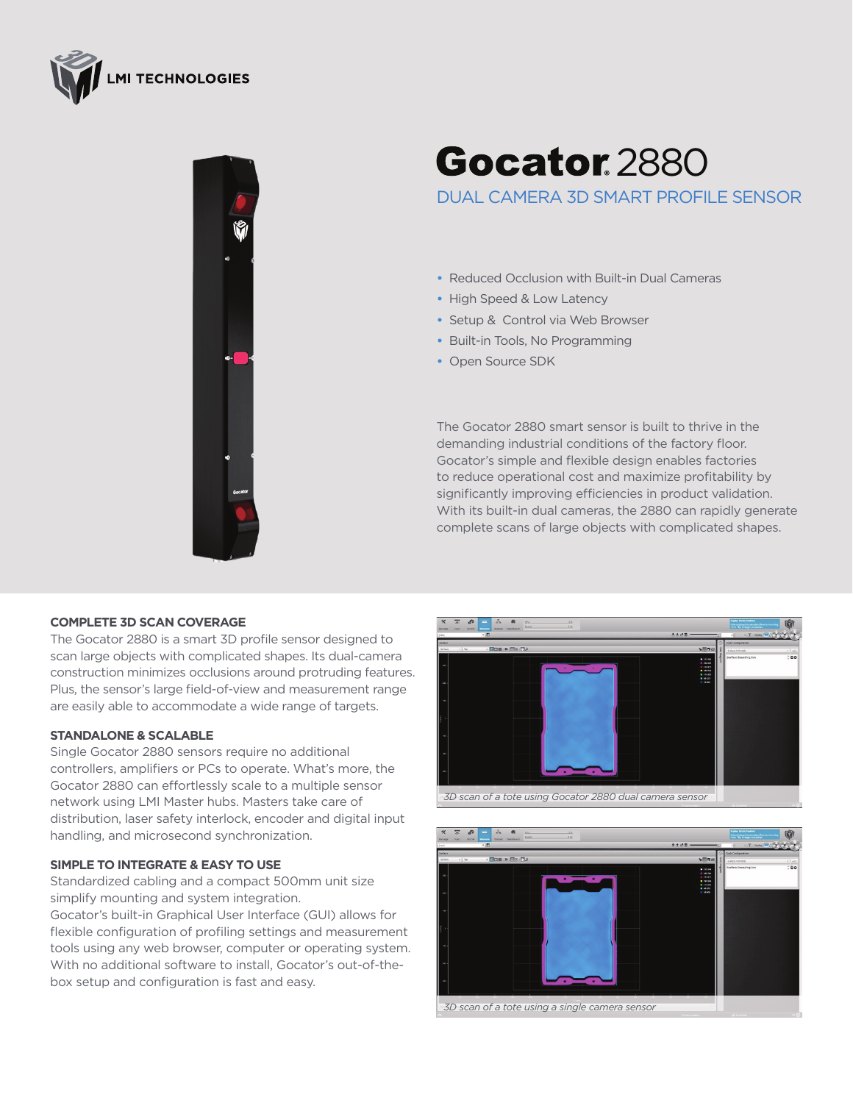



## **Gocator 2880**

DUAL CAMERA 3D SMART PROFILE SENSOR

- **•** Reduced Occlusion with Built-in Dual Cameras
- **•** High Speed & Low Latency
- **•** Setup & Control via Web Browser
- **•** Built-in Tools, No Programming
- **•** Open Source SDK

The Gocator 2880 smart sensor is built to thrive in the demanding industrial conditions of the factory floor. Gocator's simple and flexible design enables factories to reduce operational cost and maximize profitability by significantly improving efficiencies in product validation. With its built-in dual cameras, the 2880 can rapidly generate complete scans of large objects with complicated shapes.

## **COMPLETE 3D SCAN COVERAGE**

The Gocator 2880 is a smart 3D profile sensor designed to scan large objects with complicated shapes. Its dual-camera construction minimizes occlusions around protruding features. Plus, the sensor's large field-of-view and measurement range are easily able to accommodate a wide range of targets.

## **STANDALONE & SCALABLE**

Single Gocator 2880 sensors require no additional controllers, amplifiers or PCs to operate. What's more, the Gocator 2880 can effortlessly scale to a multiple sensor network using LMI Master hubs. Masters take care of distribution, laser safety interlock, encoder and digital input handling, and microsecond synchronization.

## **SIMPLE TO INTEGRATE & EASY TO USE**

Standardized cabling and a compact 500mm unit size simplify mounting and system integration.

Gocator's built-in Graphical User Interface (GUI) allows for flexible configuration of profiling settings and measurement tools using any web browser, computer or operating system. With no additional software to install, Gocator's out-of-thebox setup and configuration is fast and easy.